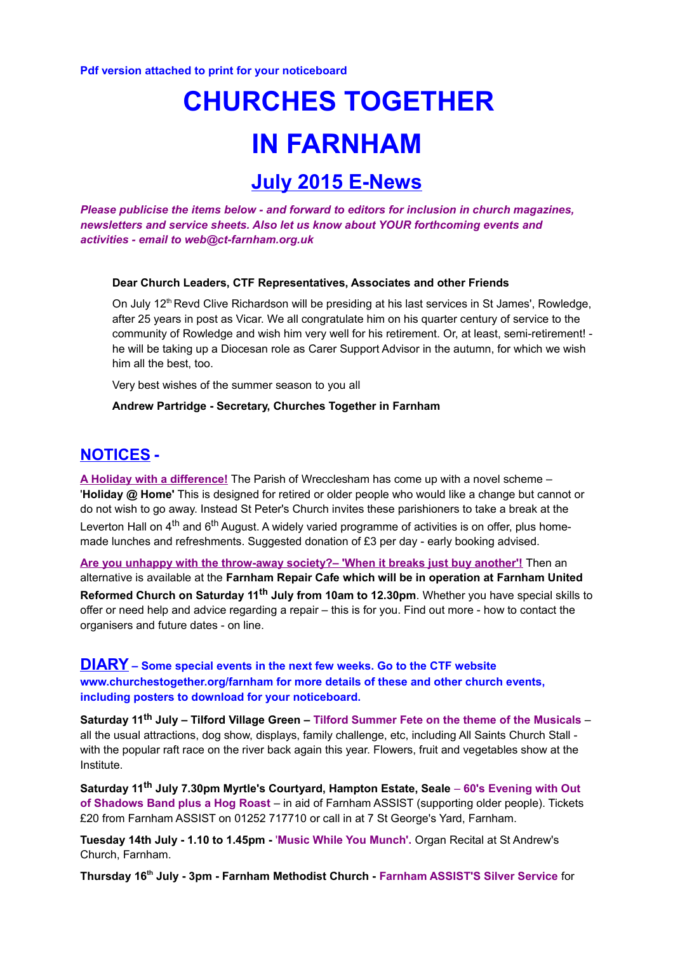**Pdf version attached to print for your noticeboard**

# **CHURCHES TOGETHER IN FARNHAM**

## **July 2015 E-News**

*Please publicise the items below - and forward to editors for inclusion in church magazines, newsletters and service sheets. Also let us know about YOUR forthcoming events and activities - email to web@ct-farnham.org.uk*

#### **Dear Church Leaders, CTF Representatives, Associates and other Friends**

On July  $12<sup>th</sup>$  Revd Clive Richardson will be presiding at his last services in St James', Rowledge, after 25 years in post as Vicar. We all congratulate him on his quarter century of service to the community of Rowledge and wish him very well for his retirement. Or, at least, semi-retirement! he will be taking up a Diocesan role as Carer Support Advisor in the autumn, for which we wish him all the best, too.

Very best wishes of the summer season to you all

#### **Andrew Partridge - Secretary, Churches Together in Farnham**

### **NOTICES -**

**A Holiday with a difference!** The Parish of Wrecclesham has come up with a novel scheme – '**Holiday @ Home'** This is designed for retired or older people who would like a change but cannot or do not wish to go away. Instead St Peter's Church invites these parishioners to take a break at the Leverton Hall on 4<sup>th</sup> and 6<sup>th</sup> August. A widely varied programme of activities is on offer, plus homemade lunches and refreshments. Suggested donation of £3 per day - early booking advised.

**Are you unhappy with the throw-away society?– 'When it breaks just buy another'!** Then an alternative is available at the **Farnham Repair Cafe which will be in operation at Farnham United Reformed Church on Saturday 11th July from 10am to 12.30pm**. Whether you have special skills to offer or need help and advice regarding a repair – this is for you. Find out more - how to contact the organisers and future dates - on line.

#### **DIARY – Some special events in the next few weeks. Go to the CTF website www.churchestogether.org/farnham for more details of these and other church events, including posters to download for your noticeboard.**

**Saturday 11th July – Tilford Village Green – Tilford Summer Fete on the theme of the Musicals** *–* all the usual attractions, dog show, displays, family challenge, etc, including All Saints Church Stall with the popular raft race on the river back again this year. Flowers, fruit and vegetables show at the Institute.

**Saturday 11th July 7.30pm Myrtle's Courtyard, Hampton Estate, Seale** – **60's Evening with Out of Shadows Band plus a Hog Roast** – in aid of Farnham ASSIST (supporting older people). Tickets £20 from Farnham ASSIST on 01252 717710 or call in at 7 St George's Yard, Farnham.

**Tuesday 14th July - 1.10 to 1.45pm -** '**Music While You Munch'.** Organ Recital at St Andrew's Church, Farnham.

**Thursday 16th July - 3pm - Farnham Methodist Church - Farnham ASSIST'S Silver Service** for